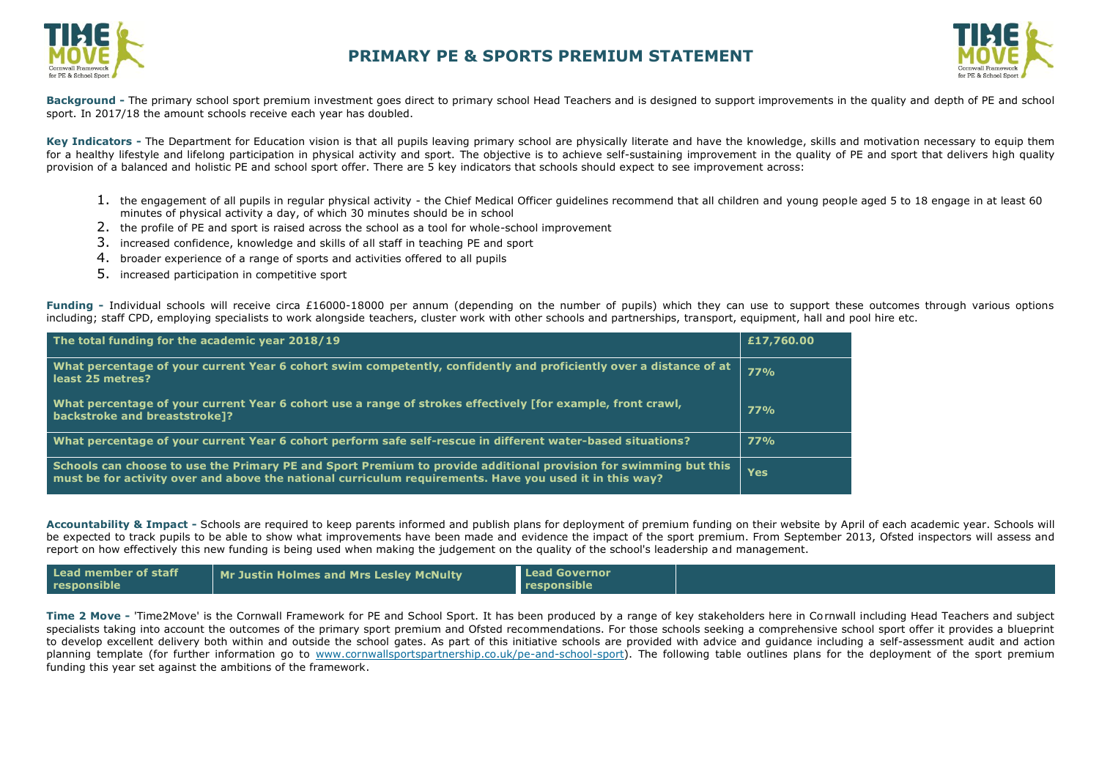



**Background -** The primary school sport premium investment goes direct to primary school Head Teachers and is designed to support improvements in the quality and depth of PE and school sport. In 2017/18 the amount schools receive each year has doubled.

Key Indicators - The Department for Education vision is that all pupils leaving primary school are physically literate and have the knowledge, skills and motivation necessary to equip them for a healthy lifestyle and lifelong participation in physical activity and sport. The objective is to achieve self-sustaining improvement in the quality of PE and sport that delivers high quality provision of a balanced and holistic PE and school sport offer. There are 5 key indicators that schools should expect to see improvement across:

- 1. the engagement of all pupils in regular physical activity the Chief Medical Officer guidelines recommend that all children and young people aged 5 to 18 engage in at least 60 minutes of physical activity a day, of which 30 minutes should be in school
- 2. the profile of PE and sport is raised across the school as a tool for whole-school improvement
- 3. increased confidence, knowledge and skills of all staff in teaching PE and sport
- 4. broader experience of a range of sports and activities offered to all pupils
- 5. increased participation in competitive sport

Funding - Individual schools will receive circa £16000-18000 per annum (depending on the number of pupils) which they can use to support these outcomes through various options including; staff CPD, employing specialists to work alongside teachers, cluster work with other schools and partnerships, transport, equipment, hall and pool hire etc.

| The total funding for the academic year 2018/19                                                                                                                                                                             | £17,760.00 |
|-----------------------------------------------------------------------------------------------------------------------------------------------------------------------------------------------------------------------------|------------|
| What percentage of your current Year 6 cohort swim competently, confidently and proficiently over a distance of at<br>least 25 metres?                                                                                      | 77%        |
| What percentage of your current Year 6 cohort use a range of strokes effectively [for example, front crawl,<br>backstroke and breaststroke]?                                                                                | <b>77%</b> |
| What percentage of your current Year 6 cohort perform safe self-rescue in different water-based situations?                                                                                                                 | <b>77%</b> |
| Schools can choose to use the Primary PE and Sport Premium to provide additional provision for swimming but this<br>must be for activity over and above the national curriculum requirements. Have you used it in this way? | <b>Yes</b> |

**Accountability & Impact -** Schools are required to keep parents informed and publish plans for deployment of premium funding on their website by April of each academic year. Schools will be expected to track pupils to be able to show what improvements have been made and [evidence the impact o](http://www.cornwallsportspartnership.co.uk/)f the sport premium. From September 2013, [Ofsted](http://www.ofsted.gov.uk/inspection-reports/our-expert-knowledge/physical-education) inspectors will assess and report on how effectively this new funding is being used when making the judgement on the quality of the school's leadership and management.

| Lead member of staff | <b>Mr Justin Holmes and Mrs Lesley McNulty</b> | <b>Lead Governor</b> |  |
|----------------------|------------------------------------------------|----------------------|--|
| responsible          |                                                | responsible          |  |

**Time 2 Move -** 'Time2Move' is the Cornwall Framework for PE and School Sport. It has been produced by a range of key stakeholders here in Cornwall including Head Teachers and subject specialists taking into account the outcomes of the primary sport premium and Ofsted recommendations. For those schools seeking a comprehensive school sport offer it provides a blueprint to develop excellent delivery both within and outside the school gates. As part of this initiative schools are provided with advice and guidance including a self-assessment audit and action planning template (for further information go to [www.cornwallsportspartnership.co.uk/pe-and-school-sport\)](http://www.cornwallsportspartnership.co.uk/pe-and-school-sport). The following table outlines plans for the deployment of the sport premium funding this year set against the ambitions of the framework.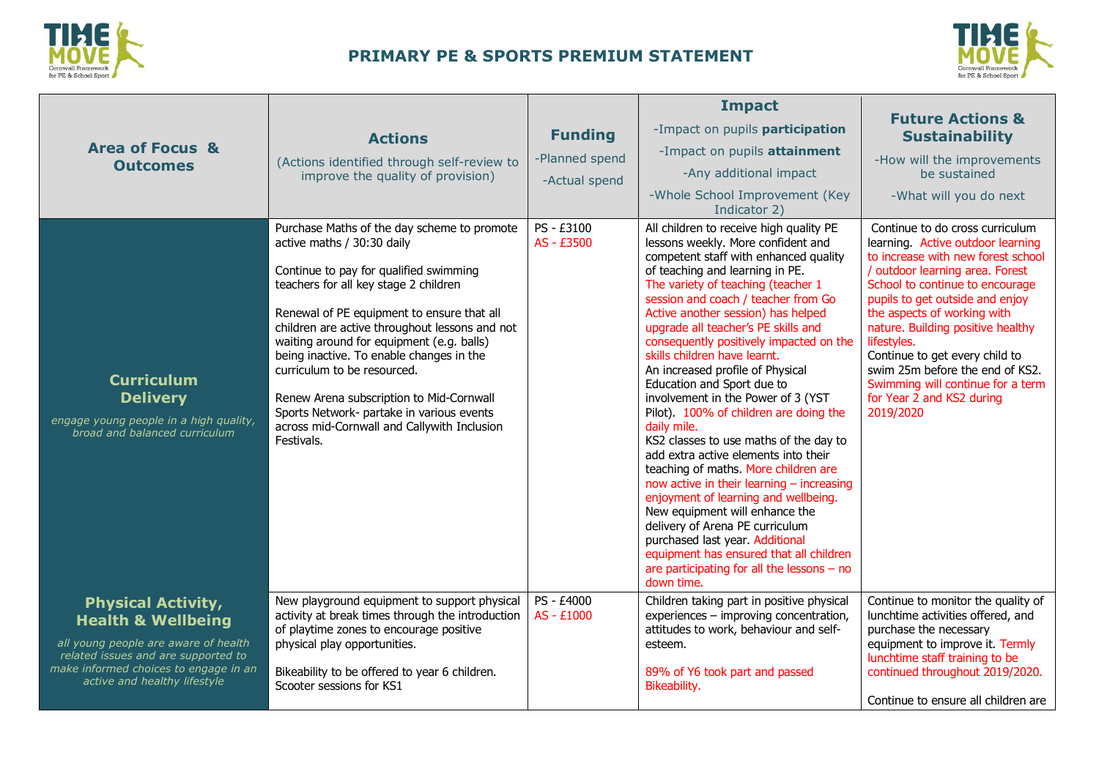



| <b>Area of Focus &amp;</b><br><b>Outcomes</b>                                                                                                                                                                      | <b>Actions</b><br>(Actions identified through self-review to<br>improve the quality of provision)                                                                                                                                                                                                                                                                                                                                                                                                                                          | <b>Funding</b><br>-Planned spend<br>-Actual spend | <b>Impact</b><br>-Impact on pupils participation<br>-Impact on pupils attainment<br>-Any additional impact<br>-Whole School Improvement (Key<br>Indicator 2)                                                                                                                                                                                                                                                                                                                                                                                                                                                                                                                                                                                                                                                                                                                                                                                                                                    | <b>Future Actions &amp;</b><br><b>Sustainability</b><br>-How will the improvements<br>be sustained<br>-What will you do next                                                                                                                                                                                                                                                                                                                               |
|--------------------------------------------------------------------------------------------------------------------------------------------------------------------------------------------------------------------|--------------------------------------------------------------------------------------------------------------------------------------------------------------------------------------------------------------------------------------------------------------------------------------------------------------------------------------------------------------------------------------------------------------------------------------------------------------------------------------------------------------------------------------------|---------------------------------------------------|-------------------------------------------------------------------------------------------------------------------------------------------------------------------------------------------------------------------------------------------------------------------------------------------------------------------------------------------------------------------------------------------------------------------------------------------------------------------------------------------------------------------------------------------------------------------------------------------------------------------------------------------------------------------------------------------------------------------------------------------------------------------------------------------------------------------------------------------------------------------------------------------------------------------------------------------------------------------------------------------------|------------------------------------------------------------------------------------------------------------------------------------------------------------------------------------------------------------------------------------------------------------------------------------------------------------------------------------------------------------------------------------------------------------------------------------------------------------|
| <b>Curriculum</b><br><b>Delivery</b><br>engage young people in a high quality,<br>broad and balanced curriculum                                                                                                    | Purchase Maths of the day scheme to promote<br>active maths / 30:30 daily<br>Continue to pay for qualified swimming<br>teachers for all key stage 2 children<br>Renewal of PE equipment to ensure that all<br>children are active throughout lessons and not<br>waiting around for equipment (e.g. balls)<br>being inactive. To enable changes in the<br>curriculum to be resourced.<br>Renew Arena subscription to Mid-Cornwall<br>Sports Network- partake in various events<br>across mid-Cornwall and Callywith Inclusion<br>Festivals. | PS - £3100<br>AS - £3500                          | All children to receive high quality PE<br>lessons weekly. More confident and<br>competent staff with enhanced quality<br>of teaching and learning in PE.<br>The variety of teaching (teacher 1<br>session and coach / teacher from Go<br>Active another session) has helped<br>upgrade all teacher's PE skills and<br>consequently positively impacted on the<br>skills children have learnt.<br>An increased profile of Physical<br>Education and Sport due to<br>involvement in the Power of 3 (YST<br>Pilot). 100% of children are doing the<br>daily mile.<br>KS2 classes to use maths of the day to<br>add extra active elements into their<br>teaching of maths. More children are<br>now active in their learning - increasing<br>enjoyment of learning and wellbeing.<br>New equipment will enhance the<br>delivery of Arena PE curriculum<br>purchased last year. Additional<br>equipment has ensured that all children<br>are participating for all the lessons $-$ no<br>down time. | Continue to do cross curriculum<br>learning. Active outdoor learning<br>to increase with new forest school<br>/ outdoor learning area. Forest<br>School to continue to encourage<br>pupils to get outside and enjoy<br>the aspects of working with<br>nature. Building positive healthy<br>lifestyles.<br>Continue to get every child to<br>swim 25m before the end of KS2.<br>Swimming will continue for a term<br>for Year 2 and KS2 during<br>2019/2020 |
| <b>Physical Activity,</b><br><b>Health &amp; Wellbeing</b><br>all young people are aware of health<br>related issues and are supported to<br>make informed choices to engage in an<br>active and healthy lifestyle | New playground equipment to support physical<br>activity at break times through the introduction<br>of playtime zones to encourage positive<br>physical play opportunities.<br>Bikeability to be offered to year 6 children.<br>Scooter sessions for KS1                                                                                                                                                                                                                                                                                   | PS - £4000<br>AS - £1000                          | Children taking part in positive physical<br>experiences - improving concentration,<br>attitudes to work, behaviour and self-<br>esteem.<br>89% of Y6 took part and passed<br>Bikeability.                                                                                                                                                                                                                                                                                                                                                                                                                                                                                                                                                                                                                                                                                                                                                                                                      | Continue to monitor the quality of<br>lunchtime activities offered, and<br>purchase the necessary<br>equipment to improve it. Termly<br>lunchtime staff training to be<br>continued throughout 2019/2020.<br>Continue to ensure all children are                                                                                                                                                                                                           |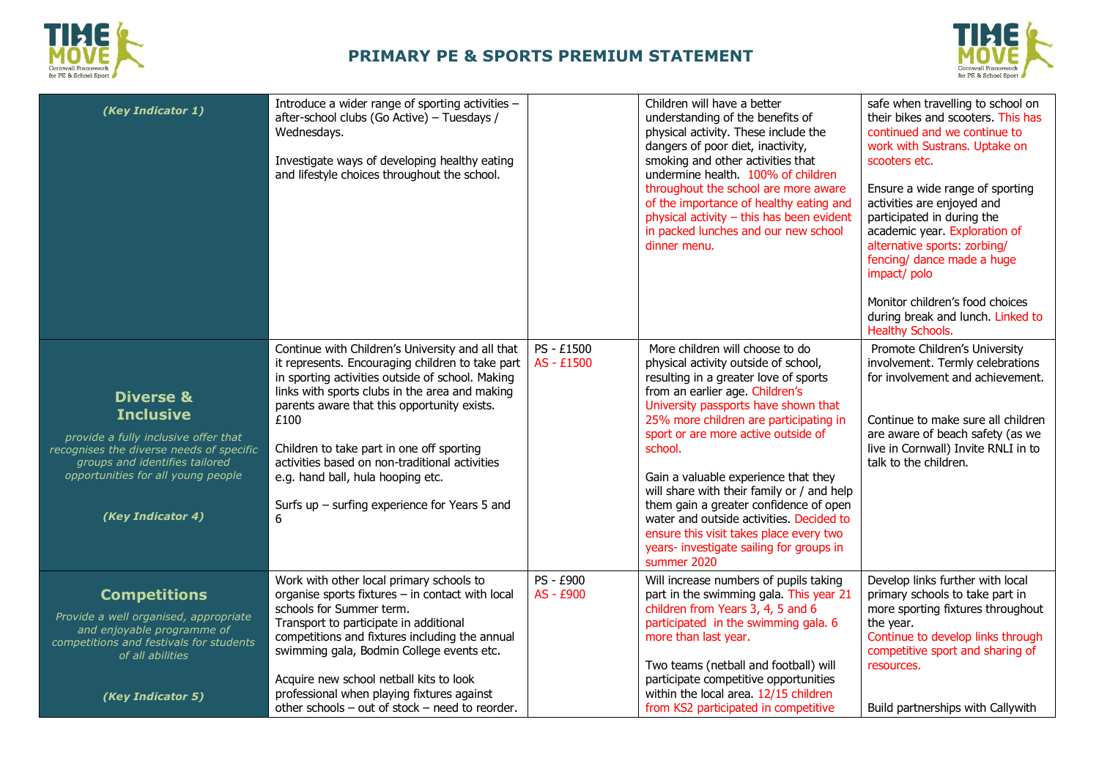



| (Key Indicator 1)                                                                                                                                                                                                         | Introduce a wider range of sporting activities -<br>after-school clubs (Go Active) - Tuesdays /<br>Wednesdays.<br>Investigate ways of developing healthy eating<br>and lifestyle choices throughout the school.                                                                                                                                                                                                                                               |                          | Children will have a better<br>understanding of the benefits of<br>physical activity. These include the<br>dangers of poor diet, inactivity,<br>smoking and other activities that<br>undermine health. 100% of children<br>throughout the school are more aware<br>of the importance of healthy eating and<br>physical activity - this has been evident<br>in packed lunches and our new school<br>dinner menu.                                                                                                                                                           | safe when travelling to school on<br>their bikes and scooters. This has<br>continued and we continue to<br>work with Sustrans. Uptake on<br>scooters etc.<br>Ensure a wide range of sporting<br>activities are enjoyed and<br>participated in during the<br>academic year. Exploration of<br>alternative sports: zorbing/<br>fencing/ dance made a huge<br>impact/polo<br>Monitor children's food choices<br>during break and lunch. Linked to<br><b>Healthy Schools.</b> |
|---------------------------------------------------------------------------------------------------------------------------------------------------------------------------------------------------------------------------|---------------------------------------------------------------------------------------------------------------------------------------------------------------------------------------------------------------------------------------------------------------------------------------------------------------------------------------------------------------------------------------------------------------------------------------------------------------|--------------------------|---------------------------------------------------------------------------------------------------------------------------------------------------------------------------------------------------------------------------------------------------------------------------------------------------------------------------------------------------------------------------------------------------------------------------------------------------------------------------------------------------------------------------------------------------------------------------|---------------------------------------------------------------------------------------------------------------------------------------------------------------------------------------------------------------------------------------------------------------------------------------------------------------------------------------------------------------------------------------------------------------------------------------------------------------------------|
| <b>Diverse &amp;</b><br><b>Inclusive</b><br>provide a fully inclusive offer that<br>recognises the diverse needs of specific<br>groups and identifies tailored<br>opportunities for all young people<br>(Key Indicator 4) | Continue with Children's University and all that<br>it represents. Encouraging children to take part<br>in sporting activities outside of school. Making<br>links with sports clubs in the area and making<br>parents aware that this opportunity exists.<br>£100<br>Children to take part in one off sporting<br>activities based on non-traditional activities<br>e.g. hand ball, hula hooping etc.<br>Surfs up $-$ surfing experience for Years 5 and<br>6 | PS - £1500<br>AS - £1500 | More children will choose to do<br>physical activity outside of school,<br>resulting in a greater love of sports<br>from an earlier age. Children's<br>University passports have shown that<br>25% more children are participating in<br>sport or are more active outside of<br>school.<br>Gain a valuable experience that they<br>will share with their family or / and help<br>them gain a greater confidence of open<br>water and outside activities. Decided to<br>ensure this visit takes place every two<br>years- investigate sailing for groups in<br>summer 2020 | Promote Children's University<br>involvement. Termly celebrations<br>for involvement and achievement.<br>Continue to make sure all children<br>are aware of beach safety (as we<br>live in Cornwall) Invite RNLI in to<br>talk to the children.                                                                                                                                                                                                                           |
| <b>Competitions</b><br>Provide a well organised, appropriate<br>and enjoyable programme of<br>competitions and festivals for students<br>of all abilities<br>(Key Indicator 5)                                            | Work with other local primary schools to<br>organise sports fixtures - in contact with local<br>schools for Summer term.<br>Transport to participate in additional<br>competitions and fixtures including the annual<br>swimming gala, Bodmin College events etc.<br>Acquire new school netball kits to look<br>professional when playing fixtures against<br>other schools - out of stock - need to reorder.                                                 | PS - £900<br>AS - £900   | Will increase numbers of pupils taking<br>part in the swimming gala. This year 21<br>children from Years 3, 4, 5 and 6<br>participated in the swimming gala. 6<br>more than last year.<br>Two teams (netball and football) will<br>participate competitive opportunities<br>within the local area. 12/15 children<br>from KS2 participated in competitive                                                                                                                                                                                                                 | Develop links further with local<br>primary schools to take part in<br>more sporting fixtures throughout<br>the year.<br>Continue to develop links through<br>competitive sport and sharing of<br>resources.<br>Build partnerships with Callywith                                                                                                                                                                                                                         |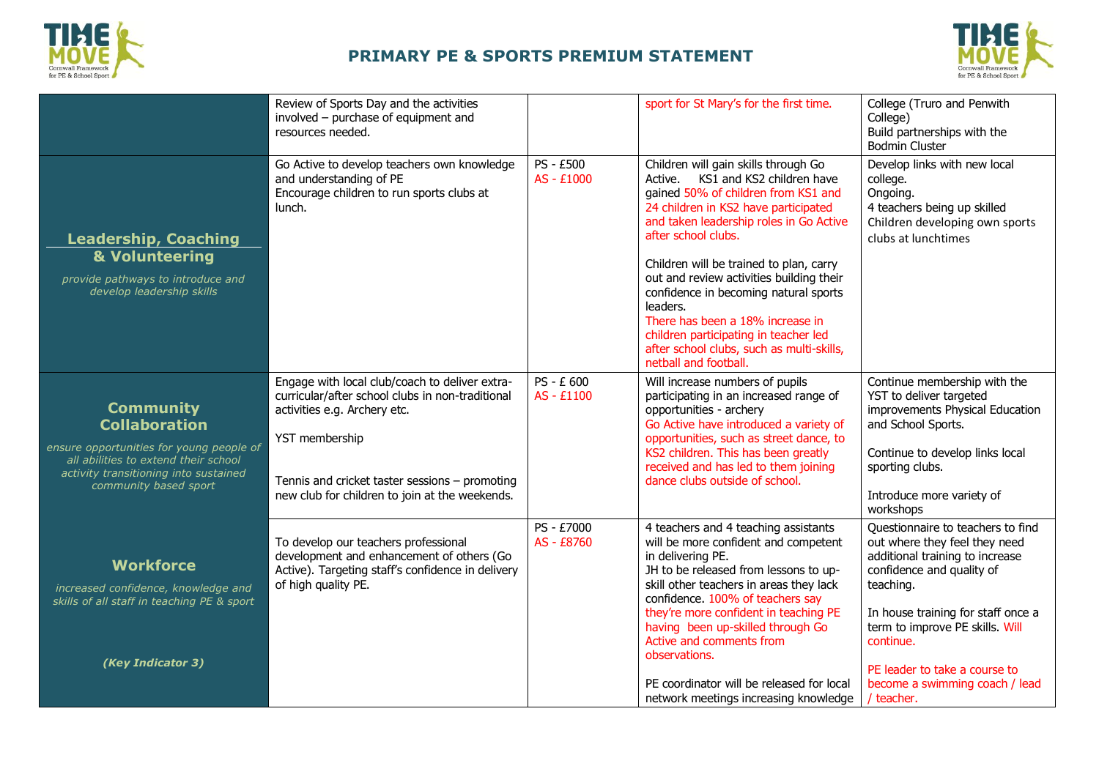



|                                                                                                                                                                                                | Review of Sports Day and the activities<br>involved - purchase of equipment and<br>resources needed.                                                                                                                                                     |                          | sport for St Mary's for the first time.                                                                                                                                                                                                                                                                                                                                                                                                                                                                                   | College (Truro and Penwith<br>College)<br>Build partnerships with the<br><b>Bodmin Cluster</b>                                                                                                                                                                                                                         |
|------------------------------------------------------------------------------------------------------------------------------------------------------------------------------------------------|----------------------------------------------------------------------------------------------------------------------------------------------------------------------------------------------------------------------------------------------------------|--------------------------|---------------------------------------------------------------------------------------------------------------------------------------------------------------------------------------------------------------------------------------------------------------------------------------------------------------------------------------------------------------------------------------------------------------------------------------------------------------------------------------------------------------------------|------------------------------------------------------------------------------------------------------------------------------------------------------------------------------------------------------------------------------------------------------------------------------------------------------------------------|
| <b>Leadership, Coaching</b><br>& Volunteering<br>provide pathways to introduce and<br>develop leadership skills                                                                                | Go Active to develop teachers own knowledge<br>and understanding of PE<br>Encourage children to run sports clubs at<br>lunch.                                                                                                                            | PS - £500<br>AS - £1000  | Children will gain skills through Go<br>Active. KS1 and KS2 children have<br>gained 50% of children from KS1 and<br>24 children in KS2 have participated<br>and taken leadership roles in Go Active<br>after school clubs.<br>Children will be trained to plan, carry<br>out and review activities building their<br>confidence in becoming natural sports<br>leaders.<br>There has been a 18% increase in<br>children participating in teacher led<br>after school clubs, such as multi-skills,<br>netball and football. | Develop links with new local<br>college.<br>Ongoing.<br>4 teachers being up skilled<br>Children developing own sports<br>clubs at lunchtimes                                                                                                                                                                           |
| <b>Community</b><br><b>Collaboration</b><br>ensure opportunities for young people of<br>all abilities to extend their school<br>activity transitioning into sustained<br>community based sport | Engage with local club/coach to deliver extra-<br>curricular/after school clubs in non-traditional<br>activities e.g. Archery etc.<br>YST membership<br>Tennis and cricket taster sessions - promoting<br>new club for children to join at the weekends. | PS - £ 600<br>AS - £1100 | Will increase numbers of pupils<br>participating in an increased range of<br>opportunities - archery<br>Go Active have introduced a variety of<br>opportunities, such as street dance, to<br>KS2 children. This has been greatly<br>received and has led to them joining<br>dance clubs outside of school.                                                                                                                                                                                                                | Continue membership with the<br>YST to deliver targeted<br>improvements Physical Education<br>and School Sports.<br>Continue to develop links local<br>sporting clubs.<br>Introduce more variety of<br>workshops                                                                                                       |
| <b>Workforce</b><br>increased confidence, knowledge and<br>skills of all staff in teaching PE & sport<br>(Key Indicator 3)                                                                     | To develop our teachers professional<br>development and enhancement of others (Go<br>Active). Targeting staff's confidence in delivery<br>of high quality PE.                                                                                            | PS - £7000<br>AS - £8760 | 4 teachers and 4 teaching assistants<br>will be more confident and competent<br>in delivering PE.<br>JH to be released from lessons to up-<br>skill other teachers in areas they lack<br>confidence. 100% of teachers say<br>they're more confident in teaching PE<br>having been up-skilled through Go<br>Active and comments from<br>observations.<br>PE coordinator will be released for local<br>network meetings increasing knowledge                                                                                | Questionnaire to teachers to find<br>out where they feel they need<br>additional training to increase<br>confidence and quality of<br>teaching.<br>In house training for staff once a<br>term to improve PE skills. Will<br>continue.<br>PE leader to take a course to<br>become a swimming coach / lead<br>/ teacher. |